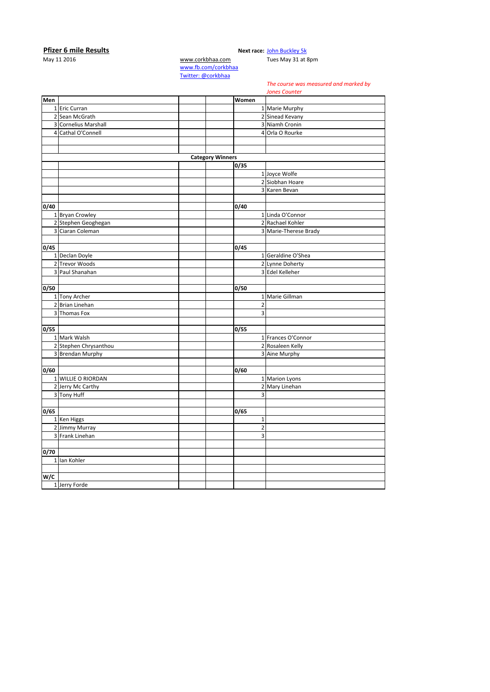## **Pfizer 6 mile Results**<br>May 11 2016 **May 11 2016 Next race:** [John Buckley 5k](http://corkbhaa.com/races/john-buckley-sports/)<br>Www.corkbhaa.com **Tues May 31 at 8pm**

[www.corkbhaa.com](http://www.corkbhaa.com/) [www.fb.com/corkbhaa](http://www.fb.com/corkbhaa) [Twitter: @corkbhaa](https://twitter.com/corkbhaa)

## *The course was measured and marked by*

*Jones Counter*

|      |                       |                         |                | <i>Jones Counter</i>  |
|------|-----------------------|-------------------------|----------------|-----------------------|
| Men  |                       |                         | Women          |                       |
|      | 1 Eric Curran         |                         |                | 1 Marie Murphy        |
|      | 2 Sean McGrath        |                         |                | 2 Sinead Kevany       |
|      | 3 Cornelius Marshall  |                         |                | 3 Niamh Cronin        |
|      | 4 Cathal O'Connell    |                         |                | 4 Orla O Rourke       |
|      |                       |                         |                |                       |
|      |                       |                         |                |                       |
|      |                       | <b>Category Winners</b> |                |                       |
|      |                       |                         | 0/35           |                       |
|      |                       |                         |                | 1 Joyce Wolfe         |
|      |                       |                         |                | 2 Siobhan Hoare       |
|      |                       |                         |                | 3 Karen Bevan         |
|      |                       |                         |                |                       |
| 0/40 |                       |                         | 0/40           |                       |
|      | 1 Bryan Crowley       |                         |                | 1 Linda O'Connor      |
|      | 2 Stephen Geoghegan   |                         |                | 2 Rachael Kohler      |
|      | 3 Ciaran Coleman      |                         |                | 3 Marie-Therese Brady |
|      |                       |                         |                |                       |
| 0/45 |                       |                         | 0/45           |                       |
|      | 1 Declan Doyle        |                         |                | 1 Geraldine O'Shea    |
|      | 2 Trevor Woods        |                         |                | 2 Lynne Doherty       |
|      | 3 Paul Shanahan       |                         |                | 3 Edel Kelleher       |
|      |                       |                         |                |                       |
| 0/50 |                       |                         | 0/50           |                       |
|      | 1 Tony Archer         |                         |                | 1 Marie Gillman       |
|      | 2 Brian Linehan       |                         | $\mathbf 2$    |                       |
|      | 3 Thomas Fox          |                         | $\overline{3}$ |                       |
|      |                       |                         |                |                       |
| 0/55 |                       |                         | 0/55           |                       |
|      | 1 Mark Walsh          |                         |                | 1 Frances O'Connor    |
|      | 2 Stephen Chrysanthou |                         |                | 2 Rosaleen Kelly      |
|      | 3 Brendan Murphy      |                         |                | 3 Aine Murphy         |
|      |                       |                         |                |                       |
| 0/60 |                       |                         | 0/60           |                       |
|      | 1 WILLIE O RIORDAN    |                         |                | 1 Marion Lyons        |
|      | 2 Jerry Mc Carthy     |                         |                | 2 Mary Linehan        |
|      | 3 Tony Huff           |                         | 3              |                       |
|      |                       |                         |                |                       |
| 0/65 |                       |                         | 0/65           |                       |
|      | 1 Ken Higgs           |                         | $\mathbf 1$    |                       |
|      | 2 Jimmy Murray        |                         | $\overline{2}$ |                       |
|      | 3 Frank Linehan       |                         | 3              |                       |
|      |                       |                         |                |                       |
| 0/70 |                       |                         |                |                       |
|      | 1 Ian Kohler          |                         |                |                       |
|      |                       |                         |                |                       |
| W/C  |                       |                         |                |                       |
|      | 1 Jerry Forde         |                         |                |                       |
|      |                       |                         |                |                       |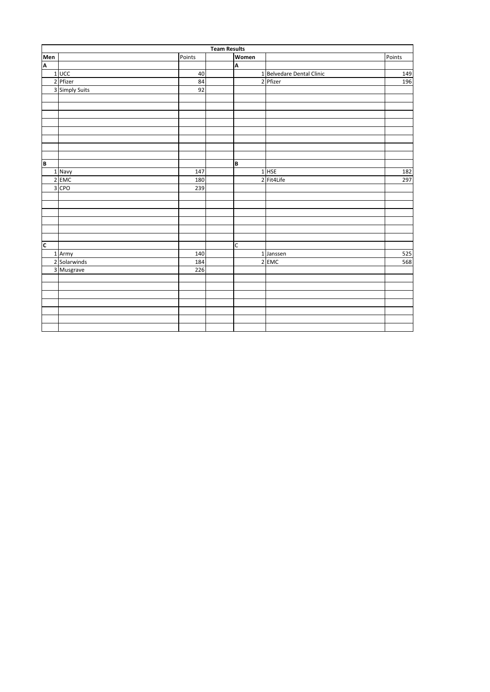|                | <b>Team Results</b> |        |  |       |                           |        |  |  |
|----------------|---------------------|--------|--|-------|---------------------------|--------|--|--|
| Men<br>A       |                     | Points |  | Women |                           | Points |  |  |
|                |                     |        |  | A     |                           |        |  |  |
|                | 1 UCC               | 40     |  |       | 1 Belvedare Dental Clinic | 149    |  |  |
|                | 2 Pfizer            | 84     |  |       | 2 Pfizer                  | 196    |  |  |
|                | 3 Simply Suits      | 92     |  |       |                           |        |  |  |
|                |                     |        |  |       |                           |        |  |  |
|                |                     |        |  |       |                           |        |  |  |
|                |                     |        |  |       |                           |        |  |  |
|                |                     |        |  |       |                           |        |  |  |
|                |                     |        |  |       |                           |        |  |  |
|                |                     |        |  |       |                           |        |  |  |
|                |                     |        |  |       |                           |        |  |  |
|                |                     |        |  |       |                           |        |  |  |
| B              |                     |        |  | B     |                           |        |  |  |
|                | 1 Navy              | 147    |  |       | $1$ HSE                   | 182    |  |  |
|                | 2 EMC               | 180    |  |       | 2 Fit4Life                | 297    |  |  |
|                | 3 CPO               | 239    |  |       |                           |        |  |  |
|                |                     |        |  |       |                           |        |  |  |
|                |                     |        |  |       |                           |        |  |  |
|                |                     |        |  |       |                           |        |  |  |
|                |                     |        |  |       |                           |        |  |  |
|                |                     |        |  |       |                           |        |  |  |
|                |                     |        |  |       |                           |        |  |  |
| $\overline{c}$ |                     |        |  | C     |                           |        |  |  |
|                | 1 Army              | 140    |  |       | 1 Janssen                 | 525    |  |  |
|                | 2 Solarwinds        | 184    |  |       | 2 EMC                     | 568    |  |  |
|                | 3 Musgrave          | 226    |  |       |                           |        |  |  |
|                |                     |        |  |       |                           |        |  |  |
|                |                     |        |  |       |                           |        |  |  |
|                |                     |        |  |       |                           |        |  |  |
|                |                     |        |  |       |                           |        |  |  |
|                |                     |        |  |       |                           |        |  |  |
|                |                     |        |  |       |                           |        |  |  |
|                |                     |        |  |       |                           |        |  |  |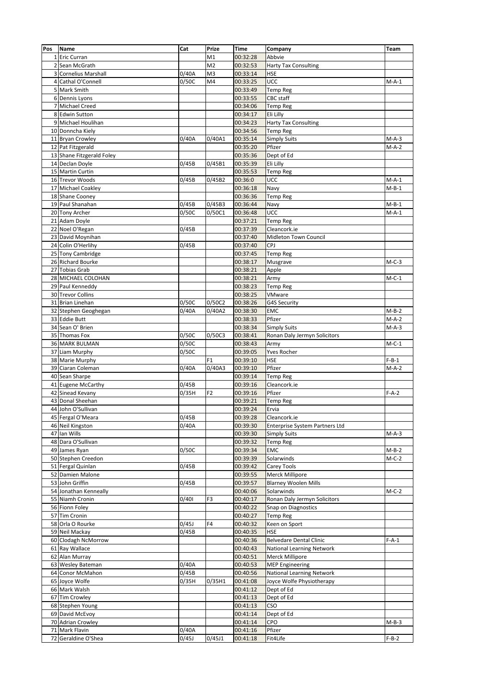| Pos | <b>Name</b>               | Cat   | Prize          | <b>Time</b> | Company                          | Team    |
|-----|---------------------------|-------|----------------|-------------|----------------------------------|---------|
|     | 1 Eric Curran             |       | M1             | 00:32:28    | Abbvie                           |         |
|     | 2 Sean McGrath            |       | M <sub>2</sub> | 00:32:53    | <b>Harty Tax Consulting</b>      |         |
|     | 3 Cornelius Marshall      | 0/40A | M <sub>3</sub> | 00:33:14    | <b>HSE</b>                       |         |
|     | 4 Cathal O'Connell        | 0/50C | M4             | 00:33:25    | UCC                              | $M-A-1$ |
|     | 5 Mark Smith              |       |                | 00:33:49    | Temp Reg                         |         |
|     | 6 Dennis Lyons            |       |                | 00:33:55    | CBC staff                        |         |
|     | 7 Michael Creed           |       |                | 00:34:06    | <b>Temp Reg</b>                  |         |
|     | 8 Edwin Sutton            |       |                | 00:34:17    | Eli Lilly                        |         |
|     | 9 Michael Houlihan        |       |                | 00:34:23    | Harty Tax Consulting             |         |
|     | 10 Donncha Kiely          |       |                | 00:34:56    | <b>Temp Reg</b>                  |         |
|     | 11 Bryan Crowley          | 0/40A | 0/40A1         | 00:35:14    | <b>Simply Suits</b>              | $M-A-3$ |
|     | 12 Pat Fitzgerald         |       |                | 00:35:20    | Pfizer                           | $M-A-2$ |
|     | 13 Shane Fitzgerald Foley |       |                | 00:35:36    | Dept of Ed                       |         |
|     | 14 Declan Doyle           | 0/45B | 0/45B1         | 00:35:39    | Eli Lilly                        |         |
|     | 15 Martin Curtin          |       |                | 00:35:53    | <b>Temp Reg</b>                  |         |
|     | 16 Trevor Woods           | 0/45B | 0/45B2         | 00:36:0     | UCC                              | $M-A-1$ |
|     | 17 Michael Coakley        |       |                | 00:36:18    | Navy                             | $M-B-1$ |
|     | 18 Shane Cooney           |       |                | 00:36:36    | <b>Temp Reg</b>                  |         |
|     | 19 Paul Shanahan          | 0/45B | 0/45B3         | 00:36:44    | Navy                             | $M-B-1$ |
|     | 20 Tony Archer            | 0/50C | 0/50C1         | 00:36:48    | UCC                              | $M-A-1$ |
|     | 21 Adam Doyle             |       |                | 00:37:21    | <b>Temp Reg</b>                  |         |
|     | 22 Noel O'Regan           | 0/45B |                | 00:37:39    | Cleancork.ie                     |         |
|     | 23 David Moynihan         |       |                | 00:37:40    | Midleton Town Council            |         |
|     | 24 Colin O'Herlihy        | 0/45B |                | 00:37:40    | <b>CPJ</b>                       |         |
|     | 25 Tony Cambridge         |       |                | 00:37:45    | <b>Temp Reg</b>                  |         |
|     | 26 Richard Bourke         |       |                | 00:38:17    | Musgrave                         | $M-C-3$ |
|     | 27 Tobias Grab            |       |                | 00:38:21    | Apple                            |         |
|     | 28 MICHAEL COLOHAN        |       |                | 00:38:21    | Army                             | $M-C-1$ |
|     | 29 Paul Kenneddy          |       |                | 00:38:23    | <b>Temp Reg</b>                  |         |
|     | 30 Trevor Collins         |       |                | 00:38:25    | VMware                           |         |
|     | 31 Brian Linehan          | 0/50C | 0/50C2         | 00:38:26    | <b>G4S Security</b>              |         |
|     | 32 Stephen Geoghegan      | 0/40A | 0/40A2         | 00:38:30    | EMC                              | $M-B-2$ |
|     | 33 Eddie Butt             |       |                | 00:38:33    | Pfizer                           | $M-A-2$ |
|     | 34 Sean O' Brien          |       |                | 00:38:34    | <b>Simply Suits</b>              | $M-A-3$ |
|     | 35 Thomas Fox             | 0/50C | 0/50C3         | 00:38:41    | Ronan Daly Jermyn Solicitors     |         |
|     | <b>36 MARK BULMAN</b>     | 0/50C |                | 00:38:43    | Army                             | $M-C-1$ |
|     | 37 Liam Murphy            | 0/50C |                | 00:39:05    | <b>Yves Rocher</b>               |         |
|     | 38 Marie Murphy           |       | F1             | 00:39:10    | <b>HSE</b>                       | $F-B-1$ |
|     | 39 Ciaran Coleman         | 0/40A | 0/40A3         | 00:39:10    | Pfizer                           | $M-A-2$ |
|     | 40 Sean Sharpe            |       |                | 00:39:14    | <b>Temp Reg</b>                  |         |
|     | 41 Eugene McCarthy        | 0/45B |                | 00:39:16    | Cleancork.ie                     |         |
|     | 42 Sinead Kevany          | 0/35H | F2             | 00:39:16    | Pfizer                           | $F-A-2$ |
|     | 43 Donal Sheehan          |       |                | 00:39:21    | <b>Temp Reg</b>                  |         |
|     | 44 John O'Sullivan        |       |                | 00:39:24    | Ervia                            |         |
|     | 45 Fergal O'Meara         | 0/45B |                | 00:39:28    | Cleancork.ie                     |         |
|     | 46 Neil Kingston          | 0/40A |                | 00:39:30    | Enterprise System Partners Ltd   |         |
|     | 47 Ian Wills              |       |                | 00:39:30    | <b>Simply Suits</b>              | $M-A-3$ |
|     | 48 Dara O'Sullivan        |       |                | 00:39:32    | <b>Temp Reg</b>                  |         |
|     | 49 James Ryan             | 0/50C |                | 00:39:34    | EMC                              | $M-B-2$ |
|     | 50 Stephen Creedon        |       |                | 00:39:39    | Solarwinds                       | $M-C-2$ |
|     | 51 Fergal Quinlan         | 0/45B |                | 00:39:42    | Carey Tools                      |         |
|     | 52 Damien Malone          |       |                | 00:39:55    | Merck Millipore                  |         |
|     | 53 John Griffin           | 0/45B |                | 00:39:57    | <b>Blarney Woolen Mills</b>      |         |
|     | 54 Jonathan Kenneally     |       |                | 00:40:06    | Solarwinds                       | M-C-2   |
|     | 55 Niamh Cronin           | 0/401 | F3             | 00:40:17    | Ronan Daly Jermyn Solicitors     |         |
|     | 56 Fionn Foley            |       |                | 00:40:22    | Snap on Diagnostics              |         |
|     | 57 Tim Cronin             |       |                | 00:40:27    | <b>Temp Reg</b>                  |         |
|     | 58 Orla O Rourke          | 0/45J | F4             | 00:40:32    | Keen on Sport                    |         |
|     | 59 Neil Mackay            | 0/45B |                | 00:40:35    | HSE                              |         |
|     | 60 Clodagh NcMorrow       |       |                | 00:40:36    | <b>Belvedare Dental Clinic</b>   | $F-A-1$ |
|     | 61 Ray Wallace            |       |                | 00:40:43    | National Learning Network        |         |
|     | 62 Alan Murray            |       |                | 00:40:51    | Merck Millipore                  |         |
|     | 63 Wesley Bateman         | 0/40A |                | 00:40:53    | <b>MEP Engineering</b>           |         |
|     | 64 Conor McMahon          | 0/45B |                | 00:40:56    | <b>National Learning Network</b> |         |
|     | 65 Joyce Wolfe            | 0/35H | 0/35H1         | 00:41:08    | Joyce Wolfe Physiotherapy        |         |
|     | 66 Mark Walsh             |       |                | 00:41:12    | Dept of Ed                       |         |
|     | 67 Tim Crowley            |       |                | 00:41:13    | Dept of Ed                       |         |
|     | 68 Stephen Young          |       |                | 00:41:13    | CSO                              |         |
|     | 69 David McEvoy           |       |                | 00:41:14    | Dept of Ed                       |         |
|     | 70 Adrian Crowley         |       |                | 00:41:14    | CPO                              | $M-B-3$ |
|     | 71 Mark Flavin            | 0/40A |                | 00:41:16    | Pfizer                           |         |
|     | 72 Geraldine O'Shea       | 0/45J | 0/45J1         | 00:41:18    | Fit4Life                         | $F-B-2$ |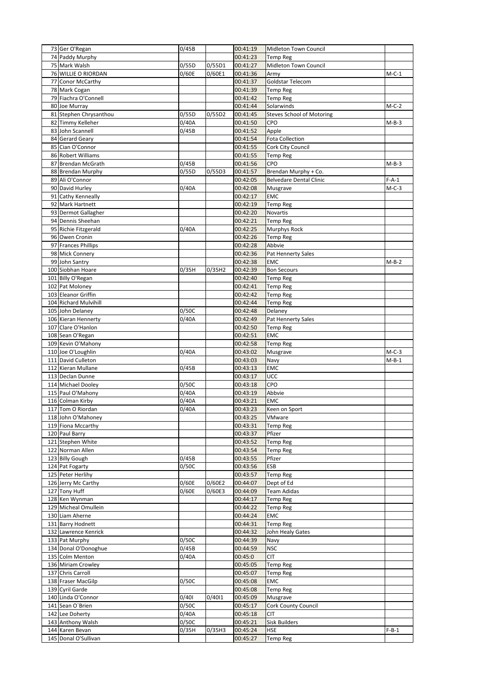|    | 73 Ger O'Regan                           | 0/45B |        | 00:41:19             | Midleton Town Council            |         |
|----|------------------------------------------|-------|--------|----------------------|----------------------------------|---------|
|    | 74 Paddy Murphy                          |       |        | 00:41:23             | <b>Temp Reg</b>                  |         |
|    | 75 Mark Walsh                            | 0/55D | 0/55D1 | 00:41:27             | Midleton Town Council            |         |
|    | 76 WILLIE O RIORDAN                      | 0/60E | 0/60E1 | 00:41:36             | Army                             | $M-C-1$ |
| 77 | Conor McCarthy                           |       |        | 00:41:37             | Goldstar Telecom                 |         |
|    | 78 Mark Cogan<br>79 Fiachra O'Connell    |       |        | 00:41:39<br>00:41:42 | Temp Reg<br><b>Temp Reg</b>      |         |
|    | 80 Joe Murray                            |       |        | 00:41:44             | Solarwinds                       | $M-C-2$ |
|    | 81 Stephen Chrysanthou                   | 0/55D | 0/55D2 | 00:41:45             | <b>Steves School of Motoring</b> |         |
|    | 82 Timmy Kelleher                        | 0/40A |        | 00:41:50             | CPO                              | $M-B-3$ |
|    | 83 John Scannell                         | 0/45B |        | 00:41:52             | Apple                            |         |
|    | 84 Gerard Geary                          |       |        | 00:41:54             | <b>Fota Collection</b>           |         |
|    | 85 Cian O'Connor                         |       |        | 00:41:55             | Cork City Council                |         |
|    | 86 Robert Williams                       |       |        | 00:41:55             | <b>Temp Reg</b>                  |         |
|    | 87 Brendan McGrath                       | 0/45B |        | 00:41:56             | CPO                              | $M-B-3$ |
|    | 88 Brendan Murphy                        | 0/55D | 0/55D3 | 00:41:57             | Brendan Murphy + Co.             |         |
|    | 89 Ali O'Connor                          |       |        | 00:42:05             | <b>Belvedare Dental Clinic</b>   | $F-A-1$ |
|    | 90 David Hurley                          | 0/40A |        | 00:42:08             | Musgrave                         | $M-C-3$ |
|    | 91 Cathy Kenneally                       |       |        | 00:42:17             | <b>EMC</b>                       |         |
|    | 92 Mark Hartnett                         |       |        | 00:42:19             | <b>Temp Reg</b>                  |         |
|    | 93 Dermot Gallagher<br>94 Dennis Sheehan |       |        | 00:42:20<br>00:42:21 | Novartis                         |         |
|    | 95 Richie Fitzgerald                     | 0/40A |        | 00:42:25             | Temp Reg<br>Murphys Rock         |         |
|    | 96 Owen Cronin                           |       |        | 00:42:26             | <b>Temp Reg</b>                  |         |
|    | 97 Frances Phillips                      |       |        | 00:42:28             | Abbvie                           |         |
|    | 98 Mick Connery                          |       |        | 00:42:36             | Pat Hennerty Sales               |         |
|    | 99 John Santry                           |       |        | 00:42:38             | <b>EMC</b>                       | $M-B-2$ |
|    | 100 Siobhan Hoare                        | 0/35H | 0/35H2 | 00:42:39             | <b>Bon Secours</b>               |         |
|    | 101 Billy O'Regan                        |       |        | 00:42:40             | <b>Temp Reg</b>                  |         |
|    | 102 Pat Moloney                          |       |        | 00:42:41             | <b>Temp Reg</b>                  |         |
|    | 103 Eleanor Griffin                      |       |        | 00:42:42             | <b>Temp Reg</b>                  |         |
|    | 104 Richard Mulvihill                    |       |        | 00:42:44             | <b>Temp Reg</b>                  |         |
|    | 105 John Delaney                         | 0/50C |        | 00:42:48             | Delaney                          |         |
|    | 106 Kieran Hennerty                      | 0/40A |        | 00:42:49             | Pat Hennerty Sales               |         |
|    | 107 Clare O'Hanlon                       |       |        | 00:42:50             | <b>Temp Reg</b>                  |         |
|    | 108 Sean O'Regan                         |       |        | 00:42:51             | <b>EMC</b>                       |         |
|    | 109 Kevin O'Mahony                       |       |        | 00:42:58             | <b>Temp Reg</b>                  |         |
|    |                                          |       |        |                      |                                  |         |
|    | 110 Joe O'Loughlin                       | 0/40A |        | 00:43:02             | Musgrave                         | $M-C-3$ |
|    | 111 David Culleton                       |       |        | 00:43:03             | Navy                             | $M-B-1$ |
|    | 112 Kieran Mullane                       | 0/45B |        | 00:43:13             | EMC                              |         |
|    | 113 Declan Dunne                         |       |        | 00:43:17             | UCC                              |         |
|    | 114 Michael Dooley                       | 0/50C |        | 00:43:18             | CPO                              |         |
|    | 115 Paul O'Mahony                        | 0/40A |        | 00:43:19             | Abbvie                           |         |
|    | 116 Colman Kirby                         | 0/40A |        | 00:43:21             | EMC                              |         |
|    | 117 Tom O Riordan                        | 0/40A |        | 00:43:23             | Keen on Sport                    |         |
|    | 118 John O'Mahoney                       |       |        | 00:43:25             | VMware                           |         |
|    | 119 Fiona Mccarthy<br>120 Paul Barry     |       |        | 00:43:31<br>00:43:37 | <b>Temp Reg</b><br>Pfizer        |         |
|    | 121 Stephen White                        |       |        | 00:43:52             | <b>Temp Reg</b>                  |         |
|    | 122 Norman Allen                         |       |        | 00:43:54             | Temp Reg                         |         |
|    | 123 Billy Gough                          | 0/45B |        | 00:43:55             | Pfizer                           |         |
|    | 124 Pat Fogarty                          | 0/50C |        | 00:43:56             | ESB                              |         |
|    | 125 Peter Herlihy                        |       |        | 00:43:57             | Temp Reg                         |         |
|    | 126 Jerry Mc Carthy                      | 0/60E | 0/60E2 | 00:44:07             | Dept of Ed                       |         |
|    | 127 Tony Huff                            | 0/60E | 0/60E3 | 00:44:09             | <b>Team Adidas</b>               |         |
|    | 128 Ken Wynman                           |       |        | 00:44:17             | Temp Reg                         |         |
|    | 129 Micheal Omullein                     |       |        | 00:44:22             | <b>Temp Reg</b>                  |         |
|    | 130 Liam Aherne                          |       |        | 00:44:24             | <b>EMC</b>                       |         |
|    | 131 Barry Hodnett                        |       |        | 00:44:31             | Temp Reg                         |         |
|    | 132 Lawrence Kenrick                     |       |        | 00:44:32             | John Healy Gates                 |         |
|    | 133 Pat Murphy                           | 0/50C |        | 00:44:39             | Navy                             |         |
|    | 134 Donal O'Donoghue                     | 0/45B |        | 00:44:59             | <b>NSC</b>                       |         |
|    | 135 Colm Menton                          | 0/40A |        | 00:45:0              | CIT                              |         |
|    | 136 Miriam Crowley                       |       |        | 00:45:05             | <b>Temp Reg</b>                  |         |
|    | 137 Chris Carroll<br>138 Fraser MacGilp  | 0/50C |        | 00:45:07<br>00:45:08 | Temp Reg<br>EMC                  |         |
|    | 139 Cyril Garde                          |       |        | 00:45:08             | Temp Reg                         |         |
|    | 140 Linda O'Connor                       | 0/401 | 0/4011 | 00:45:09             | Musgrave                         |         |
|    | 141 Sean O'Brien                         | 0/50C |        | 00:45:17             | Cork County Council              |         |
|    | 142 Lee Doherty                          | 0/40A |        | 00:45:18             | <b>CIT</b>                       |         |
|    | 143 Anthony Walsh                        | 0/50C |        | 00:45:21             | Sisk Builders                    |         |
|    | 144 Karen Bevan<br>145 Donal O'Sullivan  | 0/35H | 0/35H3 | 00:45:24             | <b>HSE</b>                       | $F-B-1$ |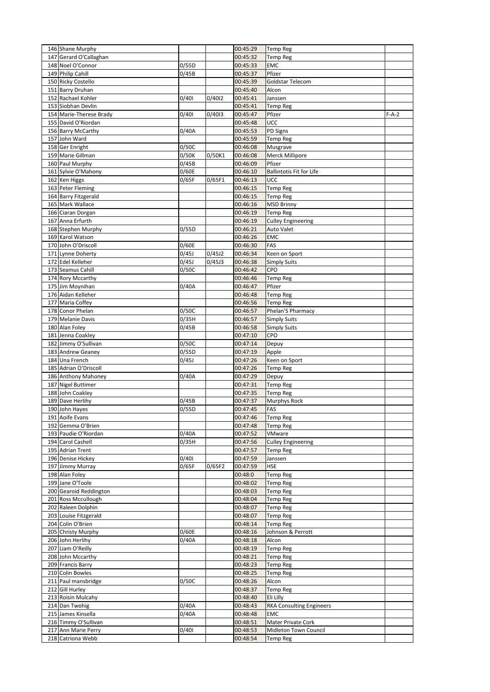| 146 Shane Murphy                     |                    |        | 00:45:29             | <b>Temp Reg</b>                    |         |
|--------------------------------------|--------------------|--------|----------------------|------------------------------------|---------|
| 147 Gerard O'Callaghan               |                    |        | 00:45:32             | <b>Temp Reg</b>                    |         |
| 148 Noel O'Connor                    | 0/55D              |        | 00:45:33             | EMC                                |         |
| 149 Philip Cahill                    | 0/45B              |        | 00:45:37             | Pfizer                             |         |
| 150 Ricky Costello                   |                    |        | 00:45:39             | Goldstar Telecom                   |         |
| 151 Barry Druhan                     |                    |        | 00:45:40             | Alcon                              |         |
| 152 Rachael Kohler                   | 0/401              | 0/4012 | 00:45:41             | Janssen                            |         |
| 153 Siobhan Devlin                   |                    |        | 00:45:41             | <b>Temp Reg</b>                    |         |
| 154 Marie-Therese Brady              | 0/401              | 0/4013 | 00:45:47             | Pfizer                             | $F-A-2$ |
| 155 David O'Riordan                  |                    |        | 00:45:48             | UCC                                |         |
| 156 Barry McCarthy                   | 0/40A              |        | 00:45:53             | PD Signs                           |         |
| 157 John Ward                        | 0/50C              |        | 00:45:59<br>00:46:08 | <b>Temp Reg</b><br>Musgrave        |         |
| 158 Ger Enright<br>159 Marie Gillman | $\overline{0}/50K$ | 0/50K1 | 00:46:08             | Merck Millipore                    |         |
| 160 Paul Murphy                      | 0/45B              |        | 00:46:09             | Pfizer                             |         |
| 161 Sylvie O'Mahony                  | 0/60E              |        | 00:46:10             | <b>Ballintotis Fit for Life</b>    |         |
| 162 Ken Higgs                        | 0/65F              | 0/65F1 | 00:46:13             | UCC                                |         |
| 163 Peter Fleming                    |                    |        | 00:46:15             | <b>Temp Reg</b>                    |         |
| 164 Barry Fitzgerald                 |                    |        | 00:46:15             | <b>Temp Reg</b>                    |         |
| 165 Mark Wallace                     |                    |        | 00:46:16             | <b>MSD Brinny</b>                  |         |
| 166 Ciaran Dorgan                    |                    |        | 00:46:19             | <b>Temp Reg</b>                    |         |
| 167 Anna Erfurth                     |                    |        | 00:46:19             | <b>Culley Engineering</b>          |         |
| 168 Stephen Murphy                   | 0/55D              |        | 00:46:21             | Auto Valet                         |         |
| 169 Karol Watson                     |                    |        | 00:46:26             | <b>EMC</b>                         |         |
| 170 John O'Driscoll                  | 0/60E              |        | 00:46:30             | FAS                                |         |
| 171 Lynne Doherty                    | 0/45J              | 0/45J2 | 00:46:34             | Keen on Sport                      |         |
| 172 Edel Kelleher                    | 0/45J              | 0/45J3 | 00:46:38             | <b>Simply Suits</b>                |         |
| 173 Seamus Cahill                    | 0/50C              |        | 00:46:42             | CPO                                |         |
| 174 Rory Mccarthy                    |                    |        | 00:46:46             | <b>Temp Reg</b>                    |         |
| 175 Jim Moynihan                     | 0/40A              |        | 00:46:47             | Pfizer                             |         |
| 176 Aidan Kelleher                   |                    |        | 00:46:48             | <b>Temp Reg</b>                    |         |
| 177 Maria Coffey                     |                    |        | 00:46:56             | <b>Temp Reg</b>                    |         |
| 178 Conor Phelan                     | 0/50C              |        | 00:46:57             | Phelan'S Pharmacy                  |         |
| 179 Melanie Davis                    | 0/35H              |        | 00:46:57             | <b>Simply Suits</b>                |         |
| 180 Alan Foley<br>181 Jenna Coakley  | 0/45B              |        | 00:46:58<br>00:47:10 | <b>Simply Suits</b><br>CPO         |         |
| 182 Jimmy O'Sullivan                 | 0/50C              |        | 00:47:14             | Depuy                              |         |
| 183 Andrew Geaney                    | 0/55D              |        | 00:47:19             | Apple                              |         |
| 184 Una French                       | 0/45J              |        | 00:47:26             | Keen on Sport                      |         |
| 185 Adrian O'Driscoll                |                    |        | 00:47:26             | <b>Temp Reg</b>                    |         |
| 186 Anthony Mahoney                  | 0/40A              |        | 00:47:29             | Depuy                              |         |
| 187 Nigel Buttimer                   |                    |        | 00:47:31             | <b>Temp Reg</b>                    |         |
| 188 John Coakley                     |                    |        | 00:47:35             | <b>Temp Reg</b>                    |         |
| 189 Dave Herlihy                     | 0/45B              |        | 00:47:37             | Murphys Rock                       |         |
| 190 John Hayes                       | 0/55D              |        | 00:47:45             | FAS                                |         |
| 191 Aoife Evans                      |                    |        | 00:47:46             | <b>Temp Reg</b>                    |         |
| 192 Gemma O'Brien                    |                    |        | 00:47:48             | <b>Temp Reg</b>                    |         |
| 193 Paudie O'Riordan                 | 0/40A              |        | 00:47:52             | VMware                             |         |
| 194 Carol Cashell                    | 0/35H              |        | 00:47:56             | <b>Culley Engineering</b>          |         |
| 195 Adrian Trent                     |                    |        | 00:47:57             | <b>Temp Reg</b>                    |         |
| 196 Denise Hickey                    | 0/401              |        | 00:47:59             | Janssen                            |         |
| 197 Jimmy Murray                     | 0/65F              | 0/65F2 | 00:47:59             | <b>HSE</b>                         |         |
| 198 Alan Foley<br>199 Jane O'Toole   |                    |        | 00:48:0<br>00:48:02  | <b>Temp Reg</b><br><b>Temp Reg</b> |         |
| 200 Gearoid Reddington               |                    |        | 00:48:03             | <b>Temp Reg</b>                    |         |
| 201 Ross Mccullough                  |                    |        | 00:48:04             | <b>Temp Reg</b>                    |         |
| 202 Raleen Dolphin                   |                    |        | 00:48:07             | <b>Temp Reg</b>                    |         |
| 203 Louise Fitzgerald                |                    |        | 00:48:07             | <b>Temp Reg</b>                    |         |
| 204 Colin O'Brien                    |                    |        | 00:48:14             | <b>Temp Reg</b>                    |         |
| 205 Christy Murphy                   | 0/60E              |        | 00:48:16             | Johnson & Perrott                  |         |
| 206 John Herlihy                     | 0/40A              |        | 00:48:18             | Alcon                              |         |
| 207 Liam O'Reilly                    |                    |        | 00:48:19             | <b>Temp Reg</b>                    |         |
| 208 John Mccarthy                    |                    |        | 00:48:21             | <b>Temp Reg</b>                    |         |
| 209 Francis Barry                    |                    |        | 00:48:23             | <b>Temp Reg</b>                    |         |
| 210 Colin Bowles                     |                    |        | 00:48:25             | <b>Temp Reg</b>                    |         |
| 211 Paul mansbridge                  | 0/50C              |        | 00:48:26             | Alcon                              |         |
| 212 Gill Hurley                      |                    |        | 00:48:37             | <b>Temp Reg</b>                    |         |
| 213 Roisin Mulcahy                   |                    |        | 00:48:40             | Eli Lilly                          |         |
| 214 Dan Twohig                       | 0/40A              |        | 00:48:43             | <b>RKA Consulting Engineers</b>    |         |
| 215 James Kinsella                   | 0/40A              |        | 00:48:48             | <b>EMC</b>                         |         |
| 216 Timmy O'Sullivan                 |                    |        | 00:48:51             | Mater Private Cork                 |         |
| 217 Ann Marie Perry                  | 0/401              |        | 00:48:53             | Midleton Town Council              |         |
| 218 Catriona Webb                    |                    |        | 00:48:54             | <b>Temp Reg</b>                    |         |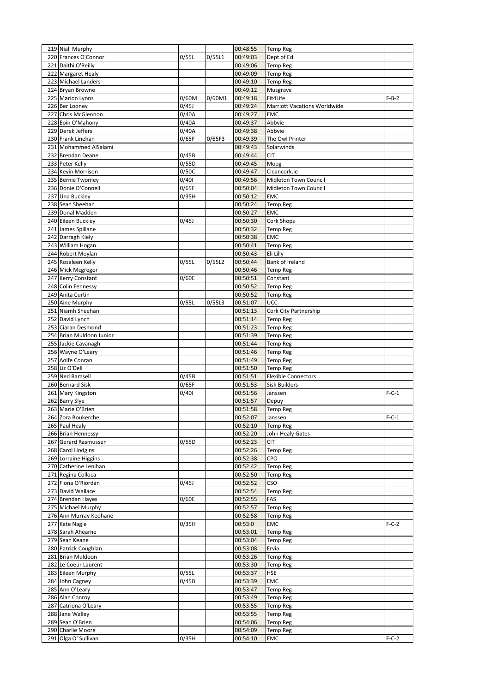| 219 Niall Murphy                          |                    |        | 00:48:55             | <b>Temp Reg</b>              |         |
|-------------------------------------------|--------------------|--------|----------------------|------------------------------|---------|
| 220 Frances O'Connor                      | 0/55L              | 0/55L1 | 00:49:03             | Dept of Ed                   |         |
| 221 Daithi O'Reilly                       |                    |        | 00:49:06             | <b>Temp Reg</b>              |         |
| 222 Margaret Healy                        |                    |        | 00:49:09             | <b>Temp Reg</b>              |         |
| 223 Michael Landers                       |                    |        | 00:49:10             | <b>Temp Reg</b>              |         |
| 224 Bryan Browne                          |                    |        | 00:49:12             | Musgrave                     |         |
| 225 Marion Lyons                          | 0/60M              | 0/60M1 | 00:49:18             | Fit4Life                     | $F-B-2$ |
| 226 Ber Looney                            | 0/45J              |        | 00:49:24             | Marriott Vacations Worldwide |         |
| 227 Chris McGlennon                       | 0/40A              |        | 00:49:27             | <b>EMC</b>                   |         |
| 228 Eoin O'Mahony                         | 0/40A              |        | 00:49:37             | Abbvie                       |         |
| 229 Derek Jeffers                         | 0/40A              |        | 00:49:38             | Abbvie                       |         |
| 230 Frank Linehan                         | 0/65F              | 0/65F3 | 00:49:39             | The Owl Printer              |         |
| 231 Mohammed AlSalami                     |                    |        | 00:49:43             | Solarwinds                   |         |
| 232 Brendan Deane                         | 0/45B              |        | 00:49:44             | <b>CIT</b>                   |         |
| 233 Peter Kelly                           | 0/55D              |        | 00:49:45             | Moog                         |         |
| 234 Kevin Morrison                        | 0/50C              |        | 00:49:47             | Cleancork.ie                 |         |
| 235 Bernie Twomey                         | 0/401              |        | 00:49:56             | Midleton Town Council        |         |
| 236 Donie O'Connell                       | 0/65F              |        | 00:50:04             | Midleton Town Council        |         |
| 237 Una Buckley                           | 0/35H              |        | 00:50:12             | <b>EMC</b>                   |         |
| 238 Sean Sheehan                          |                    |        | 00:50:24             | <b>Temp Reg</b>              |         |
| 239 Donal Madden                          |                    |        | 00:50:27             | EMC                          |         |
| 240 Eileen Buckley                        | 0/45J              |        | 00:50:30             | Cork Shops                   |         |
| 241 James Spillane                        |                    |        | 00:50:32             | <b>Temp Reg</b>              |         |
| 242 Darragh Kiely                         |                    |        | 00:50:38             | EMC                          |         |
| 243 William Hogan                         |                    |        | 00:50:41             | <b>Temp Reg</b>              |         |
| 244 Robert Moylan                         |                    |        | 00:50:43             | Eli Lilly                    |         |
| 245 Rosaleen Kelly                        | 0/55L              | 0/55L2 | 00:50:44             | Bank of Ireland              |         |
| 246 Mick Mcgregor                         |                    |        | 00:50:46             | <b>Temp Reg</b>              |         |
| 247 Kerry Constant                        | 0/60E              |        | 00:50:51             | Constant                     |         |
| 248 Colin Fennessy                        |                    |        | 00:50:52             | Temp Reg                     |         |
| 249 Anita Curtin                          |                    |        | 00:50:52             | Temp Reg                     |         |
| 250 Aine Murphy                           | 0/55L              | 0/55L3 | 00:51:07             | UCC                          |         |
| 251 Niamh Sheehan                         |                    |        | 00:51:13             | Cork City Partnership        |         |
| 252 David Lynch                           |                    |        | 00:51:14             | <b>Temp Reg</b>              |         |
| 253 Ciaran Desmond                        |                    |        | 00:51:23             | <b>Temp Reg</b>              |         |
| 254 Brian Muldoon Junior                  |                    |        | 00:51:39             | Temp Reg                     |         |
| 255 Jackie Cavanagh                       |                    |        | 00:51:44             | <b>Temp Reg</b>              |         |
| 256 Wayne O'Leary                         |                    |        | 00:51:46             | <b>Temp Reg</b>              |         |
| 257 Aoife Conran                          |                    |        | 00:51:49             | <b>Temp Reg</b>              |         |
| 258 Liz O'Dell                            |                    |        | 00:51:50             | <b>Temp Reg</b>              |         |
| 259 Ned Ramsell                           | 0/45B              |        | 00:51:51             | <b>Flexible Connectors</b>   |         |
| 260 Bernard Sisk                          | 0/65F              |        | 00:51:53             | <b>Sisk Builders</b>         |         |
| 261 Mary Kingston                         | 0/401              |        | 00:51:56             | Janssen                      | $F-C-1$ |
| 262 Barry Slye                            |                    |        | 00:51:57             | Depuy                        |         |
| 263 Marie O'Brien                         |                    |        | 00:51:58             | <b>Temp Reg</b>              |         |
| 264 Zora Boukerche                        |                    |        | 00:52:07             | Janssen                      | $F-C-1$ |
| 265 Paul Healy                            |                    |        | 00:52:10             | <b>Temp Reg</b>              |         |
| 266 Brian Hennessy                        |                    |        | 00:52:20             | John Healy Gates             |         |
| 267 Gerard Rasmussen                      | $\overline{0}/55D$ |        | 00:52:23             | <b>CIT</b>                   |         |
| 268 Carol Hodgins                         |                    |        | 00:52:26             | <b>Temp Reg</b>              |         |
| 269 Lorraine Higgins                      |                    |        | 00:52:38             | CPO                          |         |
| 270 Catherine Lenihan                     |                    |        | 00:52:42             | Temp Reg                     |         |
| 271 Regina Colloca                        |                    |        | 00:52:50             | Temp Reg                     |         |
| 272 Fiona O'Riordan                       | 0/45J              |        | 00:52:52             | CSO                          |         |
| 273 David Wallace                         |                    |        | 00:52:54             | Temp Reg                     |         |
| 274 Brendan Hayes                         | 0/60E              |        | 00:52:55             | FAS                          |         |
| 275 Michael Murphy                        |                    |        | 00:52:57             | <b>Temp Reg</b>              |         |
| 276 Ann Murray Keohane                    |                    |        | 00:52:58             | Temp Reg                     |         |
| 277 Kate Nagle                            | 0/35H              |        | 00:53:0              | EMC                          | $F-C-2$ |
| 278 Sarah Ahearne                         |                    |        | 00:53:01             | <b>Temp Reg</b>              |         |
| 279 Sean Keane                            |                    |        | 00:53:04             | <b>Temp Reg</b>              |         |
| 280 Patrick Coughlan                      |                    |        | 00:53:08             | Ervia                        |         |
| 281 Brian Muldoon                         |                    |        | 00:53:26             | <b>Temp Reg</b>              |         |
| 282 Le Coeur Laurent                      |                    |        | 00:53:30             | Temp Reg                     |         |
| 283 Eileen Murphy                         | 0/55L              |        | 00:53:37             | HSE                          |         |
| 284 John Cagney                           | 0/45B              |        | 00:53:39             | EMC                          |         |
| 285 Ann O'Leary                           |                    |        | 00:53:47             |                              |         |
|                                           |                    |        | 00:53:49             | <b>Temp Reg</b>              |         |
| 286 Alan Conroy                           |                    |        | 00:53:55             | <b>Temp Reg</b>              |         |
| 287 Catriona O'Leary                      |                    |        |                      | <b>Temp Reg</b>              |         |
| 288 Jane Walley                           |                    |        | 00:53:55             | Temp Reg                     |         |
|                                           |                    |        |                      |                              |         |
| 289 Sean O'Brien                          |                    |        | 00:54:06             | Temp Reg                     |         |
| 290 Charlie Moore<br>291 Olga O' Sullivan | 0/35H              |        | 00:54:09<br>00:54:10 | <b>Temp Reg</b><br>EMC       | $F-C-2$ |